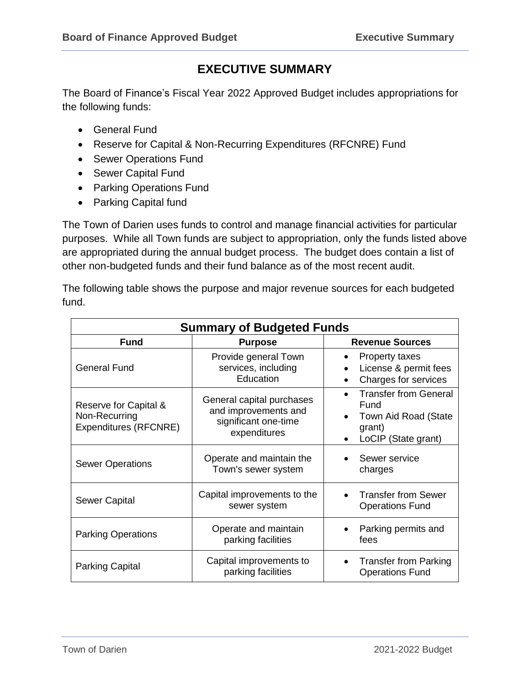# **EXECUTIVE SUMMARY**

The Board of Finance's Fiscal Year 2022 Approved Budget includes appropriations for the following funds:

- General Fund
- Reserve for Capital & Non-Recurring Expenditures (RFCNRE) Fund
- Sewer Operations Fund
- Sewer Capital Fund
- Parking Operations Fund
- Parking Capital fund

The Town of Darien uses funds to control and manage financial activities for particular purposes. While all Town funds are subject to appropriation, only the funds listed above are appropriated during the annual budget process. The budget does contain a list of other non-budgeted funds and their fund balance as of the most recent audit.

The following table shows the purpose and major revenue sources for each budgeted fund.

| <b>Summary of Budgeted Funds</b>                                |                                                                                           |                                                                                               |  |  |  |  |
|-----------------------------------------------------------------|-------------------------------------------------------------------------------------------|-----------------------------------------------------------------------------------------------|--|--|--|--|
| <b>Fund</b>                                                     | <b>Purpose</b>                                                                            | <b>Revenue Sources</b>                                                                        |  |  |  |  |
| <b>General Fund</b>                                             | Provide general Town<br>services, including<br>Education                                  | <b>Property taxes</b><br>$\bullet$<br>License & permit fees<br>Charges for services           |  |  |  |  |
| Reserve for Capital &<br>Non-Recurring<br>Expenditures (RFCNRE) | General capital purchases<br>and improvements and<br>significant one-time<br>expenditures | <b>Transfer from General</b><br>Fund<br>Town Aid Road (State<br>grant)<br>LoCIP (State grant) |  |  |  |  |
| <b>Sewer Operations</b>                                         | Operate and maintain the<br>Town's sewer system                                           | Sewer service<br>charges                                                                      |  |  |  |  |
| Sewer Capital                                                   | Capital improvements to the<br>sewer system                                               | <b>Transfer from Sewer</b><br><b>Operations Fund</b>                                          |  |  |  |  |
| <b>Parking Operations</b>                                       | Operate and maintain<br>parking facilities                                                | Parking permits and<br>fees                                                                   |  |  |  |  |
| Parking Capital                                                 | Capital improvements to<br>parking facilities                                             | <b>Transfer from Parking</b><br><b>Operations Fund</b>                                        |  |  |  |  |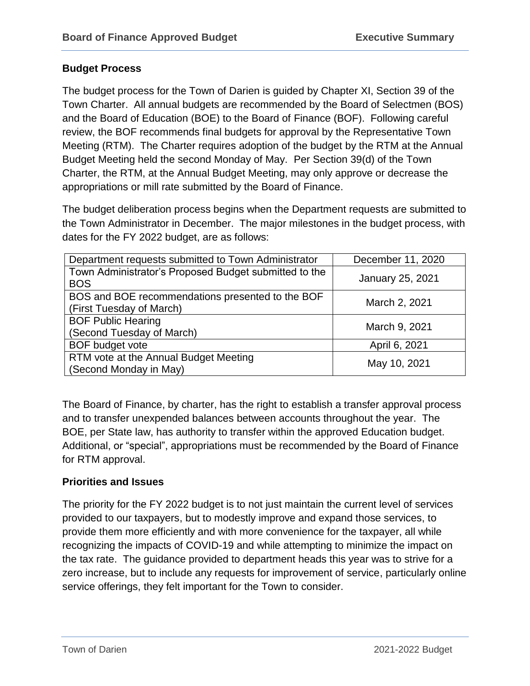# **Budget Process**

The budget process for the Town of Darien is guided by Chapter XI, Section 39 of the Town Charter. All annual budgets are recommended by the Board of Selectmen (BOS) and the Board of Education (BOE) to the Board of Finance (BOF). Following careful review, the BOF recommends final budgets for approval by the Representative Town Meeting (RTM). The Charter requires adoption of the budget by the RTM at the Annual Budget Meeting held the second Monday of May. Per Section 39(d) of the Town Charter, the RTM, at the Annual Budget Meeting, may only approve or decrease the appropriations or mill rate submitted by the Board of Finance.

The budget deliberation process begins when the Department requests are submitted to the Town Administrator in December. The major milestones in the budget process, with dates for the FY 2022 budget, are as follows:

| Department requests submitted to Town Administrator                          | December 11, 2020 |  |  |
|------------------------------------------------------------------------------|-------------------|--|--|
| Town Administrator's Proposed Budget submitted to the<br><b>BOS</b>          | January 25, 2021  |  |  |
| BOS and BOE recommendations presented to the BOF<br>(First Tuesday of March) | March 2, 2021     |  |  |
| <b>BOF Public Hearing</b><br>(Second Tuesday of March)                       | March 9, 2021     |  |  |
| <b>BOF</b> budget vote                                                       | April 6, 2021     |  |  |
| RTM vote at the Annual Budget Meeting<br>(Second Monday in May)              | May 10, 2021      |  |  |

The Board of Finance, by charter, has the right to establish a transfer approval process and to transfer unexpended balances between accounts throughout the year. The BOE, per State law, has authority to transfer within the approved Education budget. Additional, or "special", appropriations must be recommended by the Board of Finance for RTM approval.

# **Priorities and Issues**

The priority for the FY 2022 budget is to not just maintain the current level of services provided to our taxpayers, but to modestly improve and expand those services, to provide them more efficiently and with more convenience for the taxpayer, all while recognizing the impacts of COVID-19 and while attempting to minimize the impact on the tax rate. The guidance provided to department heads this year was to strive for a zero increase, but to include any requests for improvement of service, particularly online service offerings, they felt important for the Town to consider.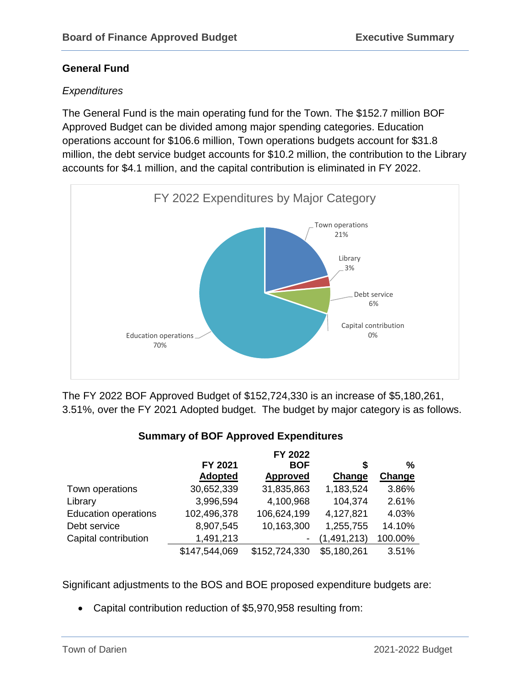### **General Fund**

### *Expenditures*

The General Fund is the main operating fund for the Town. The \$152.7 million BOF Approved Budget can be divided among major spending categories. Education operations account for \$106.6 million, Town operations budgets account for \$31.8 million, the debt service budget accounts for \$10.2 million, the contribution to the Library accounts for \$4.1 million, and the capital contribution is eliminated in FY 2022.



The FY 2022 BOF Approved Budget of \$152,724,330 is an increase of \$5,180,261, 3.51%, over the FY 2021 Adopted budget. The budget by major category is as follows.

# **Summary of BOF Approved Expenditures**

|                             | FY 2022        |                 |               |         |
|-----------------------------|----------------|-----------------|---------------|---------|
|                             | FY 2021        | <b>BOF</b>      | S             | %       |
|                             | <b>Adopted</b> | <b>Approved</b> | Change        | Change  |
| Town operations             | 30,652,339     | 31,835,863      | 1,183,524     | 3.86%   |
| Library                     | 3,996,594      | 4,100,968       | 104,374       | 2.61%   |
| <b>Education operations</b> | 102,496,378    | 106,624,199     | 4,127,821     | 4.03%   |
| Debt service                | 8,907,545      | 10,163,300      | 1,255,755     | 14.10%  |
| Capital contribution        | 1,491,213      | -               | (1, 491, 213) | 100.00% |
|                             | \$147,544,069  | \$152,724,330   | \$5,180,261   | 3.51%   |

Significant adjustments to the BOS and BOE proposed expenditure budgets are:

Capital contribution reduction of \$5,970,958 resulting from: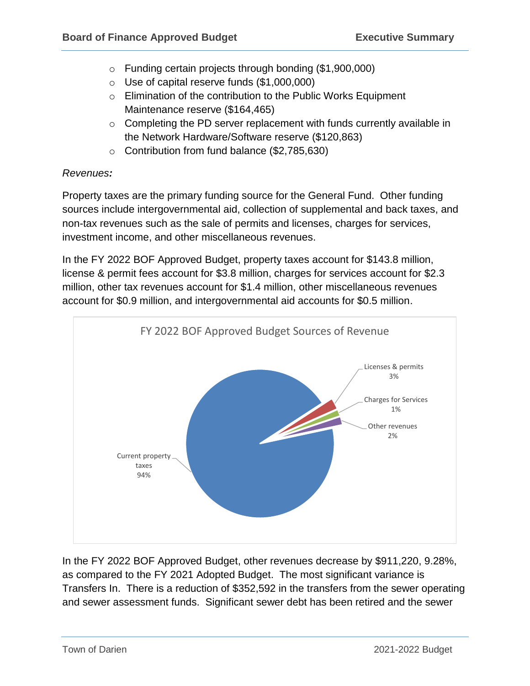- o Funding certain projects through bonding (\$1,900,000)
- $\circ$  Use of capital reserve funds  $(\$1,000,000)$
- o Elimination of the contribution to the Public Works Equipment Maintenance reserve (\$164,465)
- o Completing the PD server replacement with funds currently available in the Network Hardware/Software reserve (\$120,863)
- o Contribution from fund balance (\$2,785,630)

#### *Revenues:*

Property taxes are the primary funding source for the General Fund. Other funding sources include intergovernmental aid, collection of supplemental and back taxes, and non-tax revenues such as the sale of permits and licenses, charges for services, investment income, and other miscellaneous revenues.

In the FY 2022 BOF Approved Budget, property taxes account for \$143.8 million, license & permit fees account for \$3.8 million, charges for services account for \$2.3 million, other tax revenues account for \$1.4 million, other miscellaneous revenues account for \$0.9 million, and intergovernmental aid accounts for \$0.5 million.



In the FY 2022 BOF Approved Budget, other revenues decrease by \$911,220, 9.28%, as compared to the FY 2021 Adopted Budget. The most significant variance is Transfers In. There is a reduction of \$352,592 in the transfers from the sewer operating and sewer assessment funds. Significant sewer debt has been retired and the sewer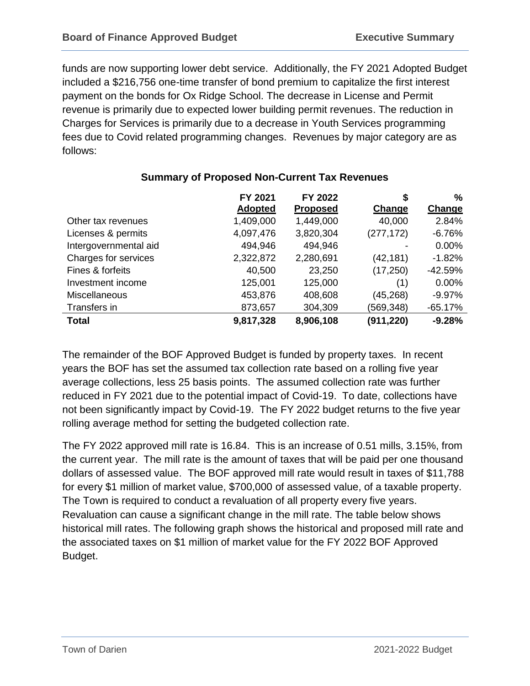funds are now supporting lower debt service. Additionally, the FY 2021 Adopted Budget included a \$216,756 one-time transfer of bond premium to capitalize the first interest payment on the bonds for Ox Ridge School. The decrease in License and Permit revenue is primarily due to expected lower building permit revenues. The reduction in Charges for Services is primarily due to a decrease in Youth Services programming fees due to Covid related programming changes. Revenues by major category are as follows:

|                       | FY 2021        | FY 2022         | 5          | %         |
|-----------------------|----------------|-----------------|------------|-----------|
|                       | <b>Adopted</b> | <b>Proposed</b> | Change     | Change    |
| Other tax revenues    | 1,409,000      | 1,449,000       | 40,000     | 2.84%     |
| Licenses & permits    | 4,097,476      | 3,820,304       | (277, 172) | $-6.76%$  |
| Intergovernmental aid | 494,946        | 494,946         |            | 0.00%     |
| Charges for services  | 2,322,872      | 2,280,691       | (42, 181)  | $-1.82%$  |
| Fines & forfeits      | 40,500         | 23,250          | (17, 250)  | $-42.59%$ |
| Investment income     | 125,001        | 125,000         | (1)        | 0.00%     |
| <b>Miscellaneous</b>  | 453,876        | 408,608         | (45, 268)  | $-9.97%$  |
| Transfers in          | 873,657        | 304,309         | (569,348)  | $-65.17%$ |
| <b>Total</b>          | 9,817,328      | 8,906,108       | (911,220)  | $-9.28%$  |

# **Summary of Proposed Non-Current Tax Revenues**

The remainder of the BOF Approved Budget is funded by property taxes. In recent years the BOF has set the assumed tax collection rate based on a rolling five year average collections, less 25 basis points. The assumed collection rate was further reduced in FY 2021 due to the potential impact of Covid-19. To date, collections have not been significantly impact by Covid-19. The FY 2022 budget returns to the five year rolling average method for setting the budgeted collection rate.

The FY 2022 approved mill rate is 16.84. This is an increase of 0.51 mills, 3.15%, from the current year. The mill rate is the amount of taxes that will be paid per one thousand dollars of assessed value. The BOF approved mill rate would result in taxes of \$11,788 for every \$1 million of market value, \$700,000 of assessed value, of a taxable property. The Town is required to conduct a revaluation of all property every five years. Revaluation can cause a significant change in the mill rate. The table below shows historical mill rates. The following graph shows the historical and proposed mill rate and the associated taxes on \$1 million of market value for the FY 2022 BOF Approved Budget.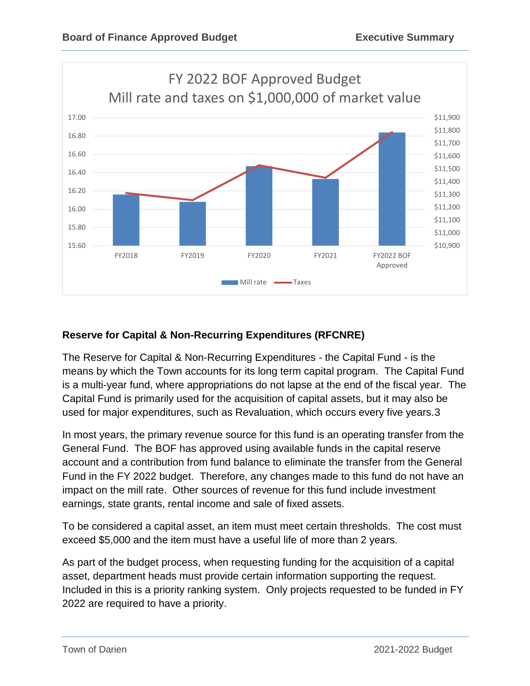

# **Reserve for Capital & Non-Recurring Expenditures (RFCNRE)**

The Reserve for Capital & Non-Recurring Expenditures - the Capital Fund - is the means by which the Town accounts for its long term capital program. The Capital Fund is a multi-year fund, where appropriations do not lapse at the end of the fiscal year. The Capital Fund is primarily used for the acquisition of capital assets, but it may also be used for major expenditures, such as Revaluation, which occurs every five years.3

In most years, the primary revenue source for this fund is an operating transfer from the General Fund. The BOF has approved using available funds in the capital reserve account and a contribution from fund balance to eliminate the transfer from the General Fund in the FY 2022 budget. Therefore, any changes made to this fund do not have an impact on the mill rate. Other sources of revenue for this fund include investment earnings, state grants, rental income and sale of fixed assets.

To be considered a capital asset, an item must meet certain thresholds. The cost must exceed \$5,000 and the item must have a useful life of more than 2 years.

As part of the budget process, when requesting funding for the acquisition of a capital asset, department heads must provide certain information supporting the request. Included in this is a priority ranking system. Only projects requested to be funded in FY 2022 are required to have a priority.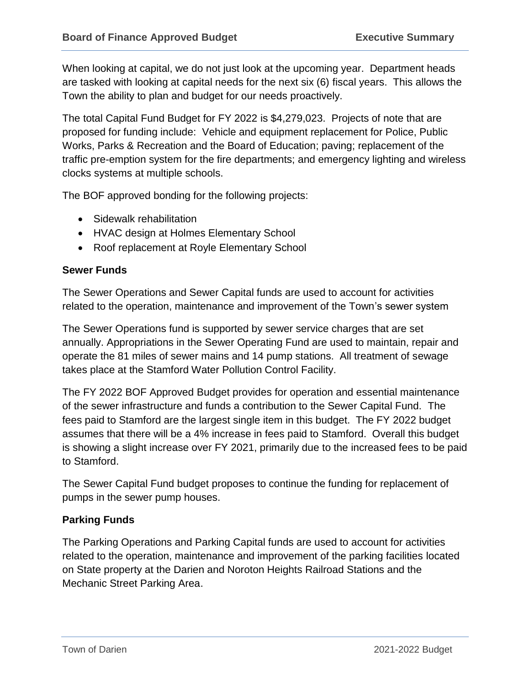When looking at capital, we do not just look at the upcoming year. Department heads are tasked with looking at capital needs for the next six (6) fiscal years. This allows the Town the ability to plan and budget for our needs proactively.

The total Capital Fund Budget for FY 2022 is \$4,279,023. Projects of note that are proposed for funding include: Vehicle and equipment replacement for Police, Public Works, Parks & Recreation and the Board of Education; paving; replacement of the traffic pre-emption system for the fire departments; and emergency lighting and wireless clocks systems at multiple schools.

The BOF approved bonding for the following projects:

- Sidewalk rehabilitation
- HVAC design at Holmes Elementary School
- Roof replacement at Royle Elementary School

### **Sewer Funds**

The Sewer Operations and Sewer Capital funds are used to account for activities related to the operation, maintenance and improvement of the Town's sewer system

The Sewer Operations fund is supported by sewer service charges that are set annually. Appropriations in the Sewer Operating Fund are used to maintain, repair and operate the 81 miles of sewer mains and 14 pump stations. All treatment of sewage takes place at the Stamford Water Pollution Control Facility.

The FY 2022 BOF Approved Budget provides for operation and essential maintenance of the sewer infrastructure and funds a contribution to the Sewer Capital Fund. The fees paid to Stamford are the largest single item in this budget. The FY 2022 budget assumes that there will be a 4% increase in fees paid to Stamford. Overall this budget is showing a slight increase over FY 2021, primarily due to the increased fees to be paid to Stamford.

The Sewer Capital Fund budget proposes to continue the funding for replacement of pumps in the sewer pump houses.

### **Parking Funds**

The Parking Operations and Parking Capital funds are used to account for activities related to the operation, maintenance and improvement of the parking facilities located on State property at the Darien and Noroton Heights Railroad Stations and the Mechanic Street Parking Area.